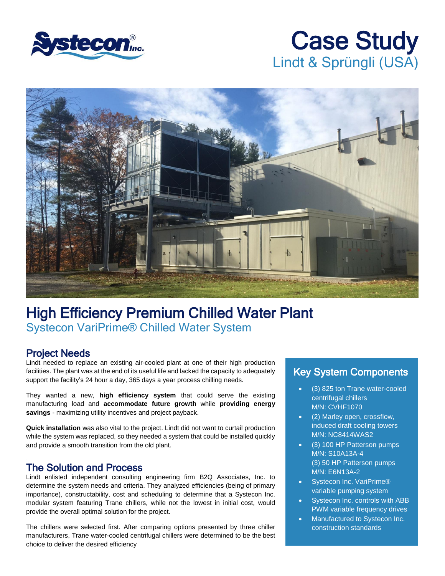

# Case Study Lindt & Sprüngli (USA)



## High Efficiency Premium Chilled Water Plant Systecon VariPrime® Chilled Water System

#### Project Needs

Lindt needed to replace an existing air-cooled plant at one of their high production facilities. The plant was at the end of its useful life and lacked the capacity to adequately support the facility's 24 hour a day, 365 days a year process chilling needs.

They wanted a new, **high efficiency system** that could serve the existing manufacturing load and **accommodate future growth** while **providing energy savings** - maximizing utility incentives and project payback.

**Quick installation** was also vital to the project. Lindt did not want to curtail production while the system was replaced, so they needed a system that could be installed quickly and provide a smooth transition from the old plant.

#### The Solution and Process

Lindt enlisted independent consulting engineering firm B2Q Associates, Inc. to determine the system needs and criteria. They analyzed efficiencies (being of primary importance), constructability, cost and scheduling to determine that a Systecon Inc. modular system featuring Trane chillers, while not the lowest in initial cost, would provide the overall optimal solution for the project.

The chillers were selected first. After comparing options presented by three chiller manufacturers, Trane water-cooled centrifugal chillers were determined to be the best choice to deliver the desired efficiency

### Key System Components

- (3) 825 ton Trane water-cooled centrifugal chillers M/N: CVHF1070
- (2) Marley open, crossflow, induced draft cooling towers M/N: NC8414WAS2
- (3) 100 HP Patterson pumps M/N: S10A13A-4 (3) 50 HP Patterson pumps M/N: E6N13A-2
- Systecon Inc. VariPrime® variable pumping system
- Systecon Inc. controls with ABB PWM variable frequency drives
- Manufactured to Systecon Inc. construction standards